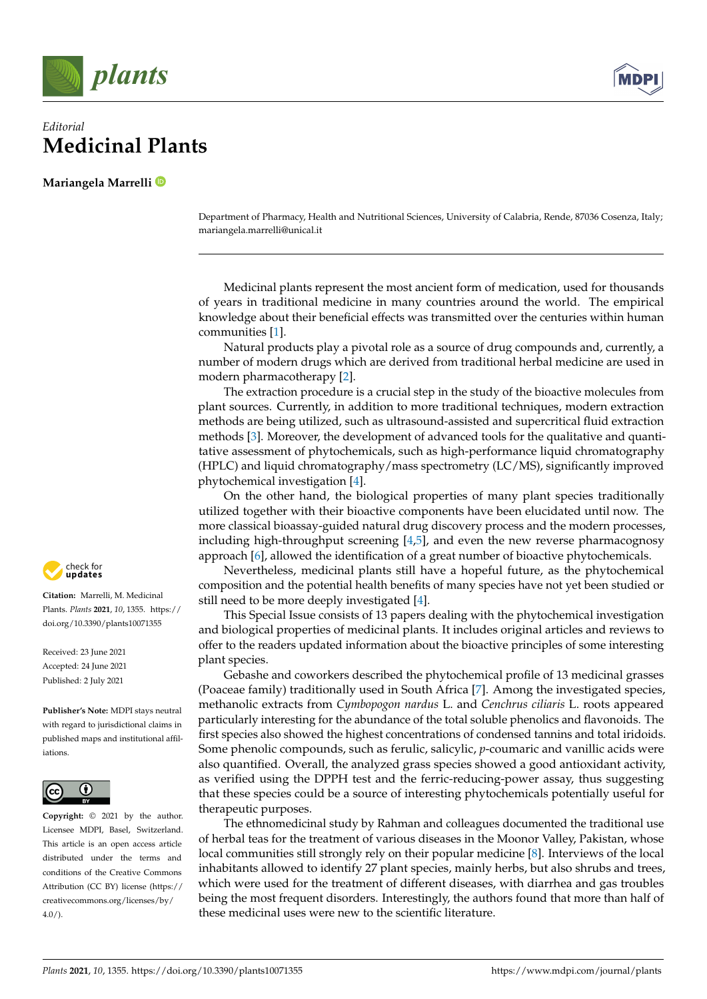

## *Editorial* **Medicinal Plants**

**Mariangela Marrelli**

Department of Pharmacy, Health and Nutritional Sciences, University of Calabria, Rende, 87036 Cosenza, Italy; mariangela.marrelli@unical.it

Medicinal plants represent the most ancient form of medication, used for thousands of years in traditional medicine in many countries around the world. The empirical knowledge about their beneficial effects was transmitted over the centuries within human communities [\[1\]](#page-3-0).

Natural products play a pivotal role as a source of drug compounds and, currently, a number of modern drugs which are derived from traditional herbal medicine are used in modern pharmacotherapy [\[2\]](#page-3-1).

The extraction procedure is a crucial step in the study of the bioactive molecules from plant sources. Currently, in addition to more traditional techniques, modern extraction methods are being utilized, such as ultrasound-assisted and supercritical fluid extraction methods [\[3\]](#page-3-2). Moreover, the development of advanced tools for the qualitative and quantitative assessment of phytochemicals, such as high-performance liquid chromatography (HPLC) and liquid chromatography/mass spectrometry (LC/MS), significantly improved phytochemical investigation [\[4\]](#page-3-3).

On the other hand, the biological properties of many plant species traditionally utilized together with their bioactive components have been elucidated until now. The more classical bioassay-guided natural drug discovery process and the modern processes, including high-throughput screening [\[4](#page-3-3)[,5\]](#page-3-4), and even the new reverse pharmacognosy approach [\[6\]](#page-3-5), allowed the identification of a great number of bioactive phytochemicals.

Nevertheless, medicinal plants still have a hopeful future, as the phytochemical composition and the potential health benefits of many species have not yet been studied or still need to be more deeply investigated [\[4\]](#page-3-3).

This Special Issue consists of 13 papers dealing with the phytochemical investigation and biological properties of medicinal plants. It includes original articles and reviews to offer to the readers updated information about the bioactive principles of some interesting plant species.

Gebashe and coworkers described the phytochemical profile of 13 medicinal grasses (Poaceae family) traditionally used in South Africa [\[7\]](#page-3-6). Among the investigated species, methanolic extracts from *Cymbopogon nardus* L. and *Cenchrus ciliaris* L. roots appeared particularly interesting for the abundance of the total soluble phenolics and flavonoids. The first species also showed the highest concentrations of condensed tannins and total iridoids. Some phenolic compounds, such as ferulic, salicylic, *p*-coumaric and vanillic acids were also quantified. Overall, the analyzed grass species showed a good antioxidant activity, as verified using the DPPH test and the ferric-reducing-power assay, thus suggesting that these species could be a source of interesting phytochemicals potentially useful for therapeutic purposes.

The ethnomedicinal study by Rahman and colleagues documented the traditional use of herbal teas for the treatment of various diseases in the Moonor Valley, Pakistan, whose local communities still strongly rely on their popular medicine [\[8\]](#page-3-7). Interviews of the local inhabitants allowed to identify 27 plant species, mainly herbs, but also shrubs and trees, which were used for the treatment of different diseases, with diarrhea and gas troubles being the most frequent disorders. Interestingly, the authors found that more than half of these medicinal uses were new to the scientific literature.



**Citation:** Marrelli, M. Medicinal Plants. *Plants* **2021**, *10*, 1355. [https://](https://doi.org/10.3390/plants10071355) [doi.org/10.3390/plants10071355](https://doi.org/10.3390/plants10071355)

Received: 23 June 2021 Accepted: 24 June 2021 Published: 2 July 2021

**Publisher's Note:** MDPI stays neutral with regard to jurisdictional claims in published maps and institutional affiliations.



**Copyright:** © 2021 by the author. Licensee MDPI, Basel, Switzerland. This article is an open access article distributed under the terms and conditions of the Creative Commons Attribution (CC BY) license (https:/[/](https://creativecommons.org/licenses/by/4.0/) [creativecommons.org/licenses/by/](https://creativecommons.org/licenses/by/4.0/)  $4.0/$ ).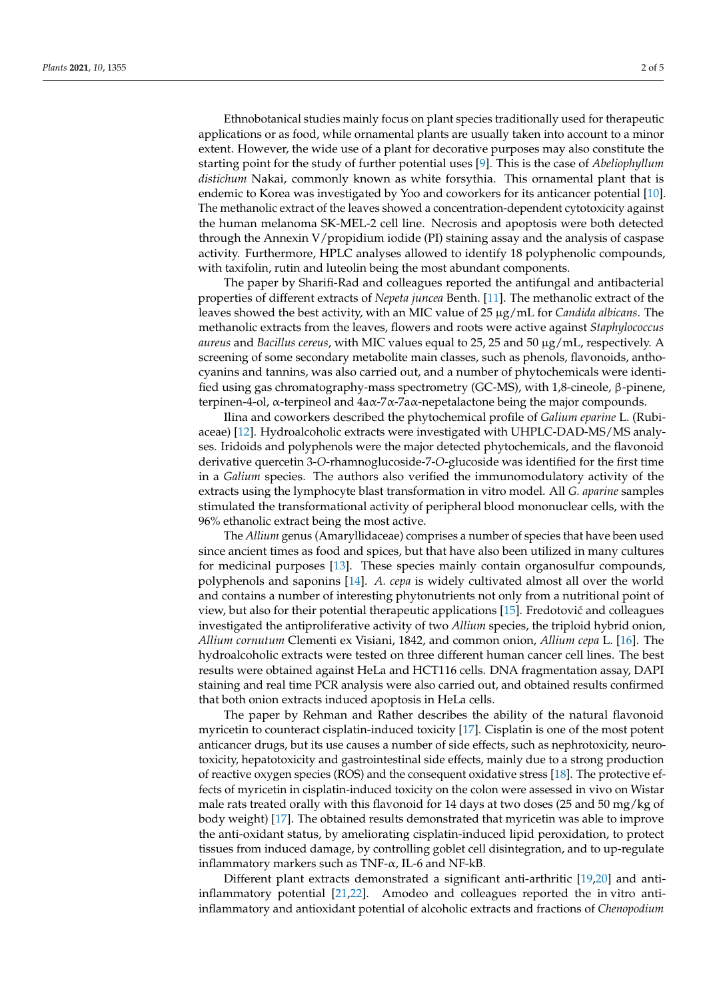Ethnobotanical studies mainly focus on plant species traditionally used for therapeutic applications or as food, while ornamental plants are usually taken into account to a minor extent. However, the wide use of a plant for decorative purposes may also constitute the starting point for the study of further potential uses [\[9\]](#page-3-8). This is the case of *Abeliophyllum distichum* Nakai, commonly known as white forsythia. This ornamental plant that is endemic to Korea was investigated by Yoo and coworkers for its anticancer potential [\[10\]](#page-3-9). The methanolic extract of the leaves showed a concentration-dependent cytotoxicity against the human melanoma SK-MEL-2 cell line. Necrosis and apoptosis were both detected through the Annexin V/propidium iodide (PI) staining assay and the analysis of caspase activity. Furthermore, HPLC analyses allowed to identify 18 polyphenolic compounds, with taxifolin, rutin and luteolin being the most abundant components.

The paper by Sharifi-Rad and colleagues reported the antifungal and antibacterial properties of different extracts of *Nepeta juncea* Benth. [\[11\]](#page-3-10). The methanolic extract of the leaves showed the best activity, with an MIC value of 25 µg/mL for *Candida albicans*. The methanolic extracts from the leaves, flowers and roots were active against *Staphylococcus aureus* and *Bacillus cereus*, with MIC values equal to 25, 25 and 50 µg/mL, respectively. A screening of some secondary metabolite main classes, such as phenols, flavonoids, anthocyanins and tannins, was also carried out, and a number of phytochemicals were identified using gas chromatography-mass spectrometry (GC-MS), with 1,8-cineole, β-pinene, terpinen-4-ol, α-terpineol and 4aα-7α-7aα-nepetalactone being the major compounds.

Ilina and coworkers described the phytochemical profile of *Galium eparine* L. (Rubiaceae) [\[12\]](#page-3-11). Hydroalcoholic extracts were investigated with UHPLC-DAD-MS/MS analyses. Iridoids and polyphenols were the major detected phytochemicals, and the flavonoid derivative quercetin 3-*O*-rhamnoglucoside-7-*O*-glucoside was identified for the first time in a *Galium* species. The authors also verified the immunomodulatory activity of the extracts using the lymphocyte blast transformation in vitro model. All *G. aparine* samples stimulated the transformational activity of peripheral blood mononuclear cells, with the 96% ethanolic extract being the most active.

The *Allium* genus (Amaryllidaceae) comprises a number of species that have been used since ancient times as food and spices, but that have also been utilized in many cultures for medicinal purposes [\[13\]](#page-3-12). These species mainly contain organosulfur compounds, polyphenols and saponins [\[14\]](#page-3-13). *A. cepa* is widely cultivated almost all over the world and contains a number of interesting phytonutrients not only from a nutritional point of view, but also for their potential therapeutic applications  $[15]$ . Fredotović and colleagues investigated the antiproliferative activity of two *Allium* species, the triploid hybrid onion, *Allium cornutum* Clementi ex Visiani, 1842, and common onion, *Allium cepa* L. [\[16\]](#page-3-15). The hydroalcoholic extracts were tested on three different human cancer cell lines. The best results were obtained against HeLa and HCT116 cells. DNA fragmentation assay, DAPI staining and real time PCR analysis were also carried out, and obtained results confirmed that both onion extracts induced apoptosis in HeLa cells.

The paper by Rehman and Rather describes the ability of the natural flavonoid myricetin to counteract cisplatin-induced toxicity [\[17\]](#page-3-16). Cisplatin is one of the most potent anticancer drugs, but its use causes a number of side effects, such as nephrotoxicity, neurotoxicity, hepatotoxicity and gastrointestinal side effects, mainly due to a strong production of reactive oxygen species (ROS) and the consequent oxidative stress [\[18\]](#page-3-17). The protective effects of myricetin in cisplatin-induced toxicity on the colon were assessed in vivo on Wistar male rats treated orally with this flavonoid for 14 days at two doses (25 and 50 mg/kg of body weight) [\[17\]](#page-3-16). The obtained results demonstrated that myricetin was able to improve the anti-oxidant status, by ameliorating cisplatin-induced lipid peroxidation, to protect tissues from induced damage, by controlling goblet cell disintegration, and to up-regulate inflammatory markers such as TNF- $\alpha$ , IL-6 and NF-kB.

Different plant extracts demonstrated a significant anti-arthritic [\[19,](#page-3-18)[20\]](#page-3-19) and antiinflammatory potential [\[21](#page-3-20)[,22\]](#page-4-0). Amodeo and colleagues reported the in vitro antiinflammatory and antioxidant potential of alcoholic extracts and fractions of *Chenopodium*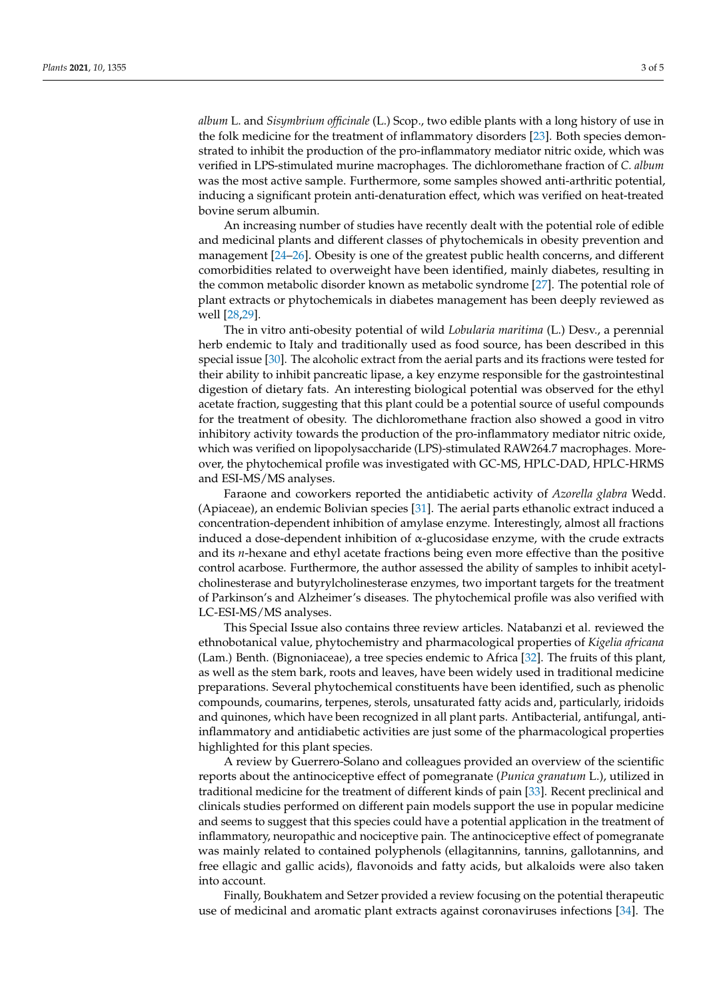*album* L. and *Sisymbrium officinale* (L.) Scop., two edible plants with a long history of use in the folk medicine for the treatment of inflammatory disorders [\[23\]](#page-4-1). Both species demonstrated to inhibit the production of the pro-inflammatory mediator nitric oxide, which was verified in LPS-stimulated murine macrophages. The dichloromethane fraction of *C. album* was the most active sample. Furthermore, some samples showed anti-arthritic potential, inducing a significant protein anti-denaturation effect, which was verified on heat-treated bovine serum albumin.

An increasing number of studies have recently dealt with the potential role of edible and medicinal plants and different classes of phytochemicals in obesity prevention and management [\[24](#page-4-2)[–26\]](#page-4-3). Obesity is one of the greatest public health concerns, and different comorbidities related to overweight have been identified, mainly diabetes, resulting in the common metabolic disorder known as metabolic syndrome [\[27\]](#page-4-4). The potential role of plant extracts or phytochemicals in diabetes management has been deeply reviewed as well [\[28](#page-4-5)[,29\]](#page-4-6).

The in vitro anti-obesity potential of wild *Lobularia maritima* (L.) Desv., a perennial herb endemic to Italy and traditionally used as food source, has been described in this special issue [\[30\]](#page-4-7). The alcoholic extract from the aerial parts and its fractions were tested for their ability to inhibit pancreatic lipase, a key enzyme responsible for the gastrointestinal digestion of dietary fats. An interesting biological potential was observed for the ethyl acetate fraction, suggesting that this plant could be a potential source of useful compounds for the treatment of obesity. The dichloromethane fraction also showed a good in vitro inhibitory activity towards the production of the pro-inflammatory mediator nitric oxide, which was verified on lipopolysaccharide (LPS)-stimulated RAW264.7 macrophages. Moreover, the phytochemical profile was investigated with GC-MS, HPLC-DAD, HPLC-HRMS and ESI-MS/MS analyses.

Faraone and coworkers reported the antidiabetic activity of *Azorella glabra* Wedd. (Apiaceae), an endemic Bolivian species [\[31\]](#page-4-8). The aerial parts ethanolic extract induced a concentration-dependent inhibition of amylase enzyme. Interestingly, almost all fractions induced a dose-dependent inhibition of α-glucosidase enzyme, with the crude extracts and its *n*-hexane and ethyl acetate fractions being even more effective than the positive control acarbose. Furthermore, the author assessed the ability of samples to inhibit acetylcholinesterase and butyrylcholinesterase enzymes, two important targets for the treatment of Parkinson's and Alzheimer's diseases. The phytochemical profile was also verified with LC-ESI-MS/MS analyses.

This Special Issue also contains three review articles. Natabanzi et al. reviewed the ethnobotanical value, phytochemistry and pharmacological properties of *Kigelia africana* (Lam.) Benth. (Bignoniaceae), a tree species endemic to Africa [\[32\]](#page-4-9). The fruits of this plant, as well as the stem bark, roots and leaves, have been widely used in traditional medicine preparations. Several phytochemical constituents have been identified, such as phenolic compounds, coumarins, terpenes, sterols, unsaturated fatty acids and, particularly, iridoids and quinones, which have been recognized in all plant parts. Antibacterial, antifungal, antiinflammatory and antidiabetic activities are just some of the pharmacological properties highlighted for this plant species.

A review by Guerrero-Solano and colleagues provided an overview of the scientific reports about the antinociceptive effect of pomegranate (*Punica granatum* L.), utilized in traditional medicine for the treatment of different kinds of pain [\[33\]](#page-4-10). Recent preclinical and clinicals studies performed on different pain models support the use in popular medicine and seems to suggest that this species could have a potential application in the treatment of inflammatory, neuropathic and nociceptive pain. The antinociceptive effect of pomegranate was mainly related to contained polyphenols (ellagitannins, tannins, gallotannins, and free ellagic and gallic acids), flavonoids and fatty acids, but alkaloids were also taken into account.

Finally, Boukhatem and Setzer provided a review focusing on the potential therapeutic use of medicinal and aromatic plant extracts against coronaviruses infections [\[34\]](#page-4-11). The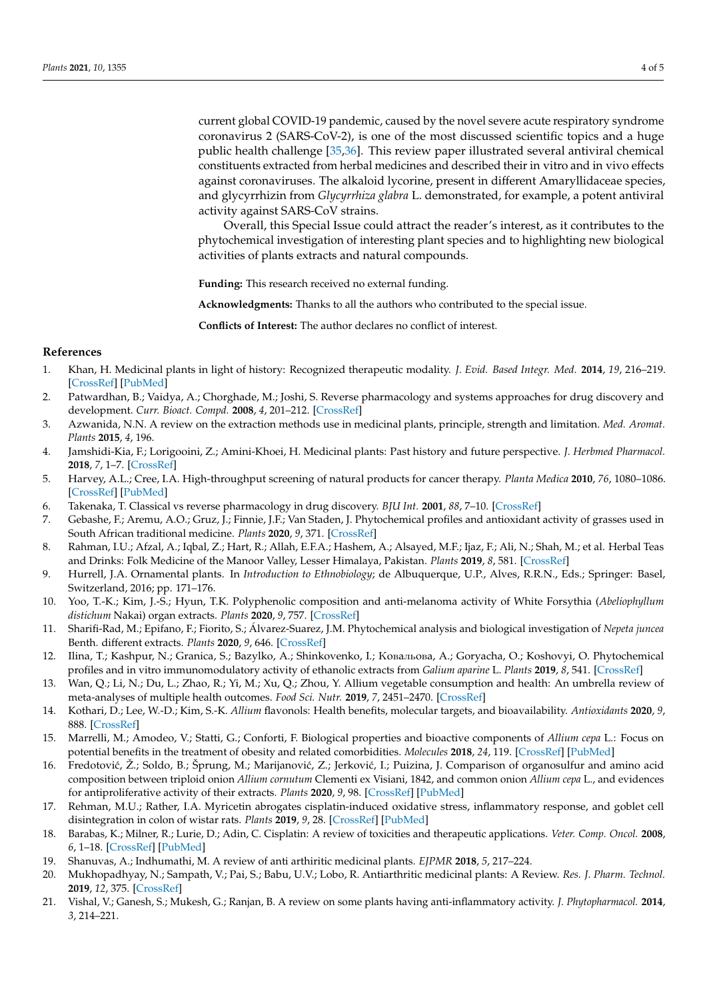current global COVID-19 pandemic, caused by the novel severe acute respiratory syndrome coronavirus 2 (SARS-CoV-2), is one of the most discussed scientific topics and a huge public health challenge [\[35](#page-4-12)[,36\]](#page-4-13). This review paper illustrated several antiviral chemical constituents extracted from herbal medicines and described their in vitro and in vivo effects against coronaviruses. The alkaloid lycorine, present in different Amaryllidaceae species, and glycyrrhizin from *Glycyrrhiza glabra* L. demonstrated, for example, a potent antiviral activity against SARS-CoV strains.

Overall, this Special Issue could attract the reader's interest, as it contributes to the phytochemical investigation of interesting plant species and to highlighting new biological activities of plants extracts and natural compounds.

**Funding:** This research received no external funding.

**Acknowledgments:** Thanks to all the authors who contributed to the special issue.

**Conflicts of Interest:** The author declares no conflict of interest.

## **References**

- <span id="page-3-0"></span>1. Khan, H. Medicinal plants in light of history: Recognized therapeutic modality. *J. Evid. Based Integr. Med.* **2014**, *19*, 216–219. [\[CrossRef\]](http://doi.org/10.1177/2156587214533346) [\[PubMed\]](http://www.ncbi.nlm.nih.gov/pubmed/24789912)
- <span id="page-3-1"></span>2. Patwardhan, B.; Vaidya, A.; Chorghade, M.; Joshi, S. Reverse pharmacology and systems approaches for drug discovery and development. *Curr. Bioact. Compd.* **2008**, *4*, 201–212. [\[CrossRef\]](http://doi.org/10.2174/157340708786847870)
- <span id="page-3-2"></span>3. Azwanida, N.N. A review on the extraction methods use in medicinal plants, principle, strength and limitation. *Med. Aromat. Plants* **2015**, *4*, 196.
- <span id="page-3-3"></span>4. Jamshidi-Kia, F.; Lorigooini, Z.; Amini-Khoei, H. Medicinal plants: Past history and future perspective. *J. Herbmed Pharmacol.* **2018**, *7*, 1–7. [\[CrossRef\]](http://doi.org/10.15171/jhp.2018.01)
- <span id="page-3-4"></span>5. Harvey, A.L.; Cree, I.A. High-throughput screening of natural products for cancer therapy. *Planta Medica* **2010**, *76*, 1080–1086. [\[CrossRef\]](http://doi.org/10.1055/s-0030-1250162) [\[PubMed\]](http://www.ncbi.nlm.nih.gov/pubmed/20635309)
- <span id="page-3-5"></span>6. Takenaka, T. Classical vs reverse pharmacology in drug discovery. *BJU Int.* **2001**, *88*, 7–10. [\[CrossRef\]](http://doi.org/10.1111/j.1464-410X.2001.00112.x)
- <span id="page-3-6"></span>7. Gebashe, F.; Aremu, A.O.; Gruz, J.; Finnie, J.F.; Van Staden, J. Phytochemical profiles and antioxidant activity of grasses used in South African traditional medicine. *Plants* **2020**, *9*, 371. [\[CrossRef\]](http://doi.org/10.3390/plants9030371)
- <span id="page-3-7"></span>8. Rahman, I.U.; Afzal, A.; Iqbal, Z.; Hart, R.; Allah, E.F.A.; Hashem, A.; Alsayed, M.F.; Ijaz, F.; Ali, N.; Shah, M.; et al. Herbal Teas and Drinks: Folk Medicine of the Manoor Valley, Lesser Himalaya, Pakistan. *Plants* **2019**, *8*, 581. [\[CrossRef\]](http://doi.org/10.3390/plants8120581)
- <span id="page-3-8"></span>9. Hurrell, J.A. Ornamental plants. In *Introduction to Ethnobiology*; de Albuquerque, U.P., Alves, R.R.N., Eds.; Springer: Basel, Switzerland, 2016; pp. 171–176.
- <span id="page-3-9"></span>10. Yoo, T.-K.; Kim, J.-S.; Hyun, T.K. Polyphenolic composition and anti-melanoma activity of White Forsythia (*Abeliophyllum distichum* Nakai) organ extracts. *Plants* **2020**, *9*, 757. [\[CrossRef\]](http://doi.org/10.3390/plants9060757)
- <span id="page-3-10"></span>11. Sharifi-Rad, M.; Epifano, F.; Fiorito, S.; Álvarez-Suarez, J.M. Phytochemical analysis and biological investigation of *Nepeta juncea* Benth. different extracts. *Plants* **2020**, *9*, 646. [\[CrossRef\]](http://doi.org/10.3390/plants9050646)
- <span id="page-3-11"></span>12. Ilina, T.; Kashpur, N.; Granica, S.; Bazylko, A.; Shinkovenko, I.; Кoвaльoвa, A.; Goryacha, O.; Koshovyi, O. Phytochemical profiles and in vitro immunomodulatory activity of ethanolic extracts from *Galium aparine* L. *Plants* **2019**, *8*, 541. [\[CrossRef\]](http://doi.org/10.3390/plants8120541)
- <span id="page-3-12"></span>13. Wan, Q.; Li, N.; Du, L.; Zhao, R.; Yi, M.; Xu, Q.; Zhou, Y. Allium vegetable consumption and health: An umbrella review of meta-analyses of multiple health outcomes. *Food Sci. Nutr.* **2019**, *7*, 2451–2470. [\[CrossRef\]](http://doi.org/10.1002/fsn3.1117)
- <span id="page-3-13"></span>14. Kothari, D.; Lee, W.-D.; Kim, S.-K. *Allium* flavonols: Health benefits, molecular targets, and bioavailability. *Antioxidants* **2020**, *9*, 888. [\[CrossRef\]](http://doi.org/10.3390/antiox9090888)
- <span id="page-3-14"></span>15. Marrelli, M.; Amodeo, V.; Statti, G.; Conforti, F. Biological properties and bioactive components of *Allium cepa* L.: Focus on potential benefits in the treatment of obesity and related comorbidities. *Molecules* **2018**, *24*, 119. [\[CrossRef\]](http://doi.org/10.3390/molecules24010119) [\[PubMed\]](http://www.ncbi.nlm.nih.gov/pubmed/30598012)
- <span id="page-3-15"></span>16. Fredotović, Ž.; Soldo, B.; Šprung, M.; Marijanović, Z.; Jerković, I.; Puizina, J. Comparison of organosulfur and amino acid composition between triploid onion *Allium cornutum* Clementi ex Visiani, 1842, and common onion *Allium cepa* L., and evidences for antiproliferative activity of their extracts. *Plants* **2020**, *9*, 98. [\[CrossRef\]](http://doi.org/10.3390/plants9010098) [\[PubMed\]](http://www.ncbi.nlm.nih.gov/pubmed/31941040)
- <span id="page-3-16"></span>17. Rehman, M.U.; Rather, I.A. Myricetin abrogates cisplatin-induced oxidative stress, inflammatory response, and goblet cell disintegration in colon of wistar rats. *Plants* **2019**, *9*, 28. [\[CrossRef\]](http://doi.org/10.3390/plants9010028) [\[PubMed\]](http://www.ncbi.nlm.nih.gov/pubmed/31878169)
- <span id="page-3-17"></span>18. Barabas, K.; Milner, R.; Lurie, D.; Adin, C. Cisplatin: A review of toxicities and therapeutic applications. *Veter. Comp. Oncol.* **2008**, *6*, 1–18. [\[CrossRef\]](http://doi.org/10.1111/j.1476-5829.2007.00142.x) [\[PubMed\]](http://www.ncbi.nlm.nih.gov/pubmed/19178659)
- <span id="page-3-18"></span>19. Shanuvas, A.; Indhumathi, M. A review of anti arthiritic medicinal plants. *EJPMR* **2018**, *5*, 217–224.
- <span id="page-3-19"></span>20. Mukhopadhyay, N.; Sampath, V.; Pai, S.; Babu, U.V.; Lobo, R. Antiarthritic medicinal plants: A Review. *Res. J. Pharm. Technol.* **2019**, *12*, 375. [\[CrossRef\]](http://doi.org/10.5958/0974-360X.2019.00068.4)
- <span id="page-3-20"></span>21. Vishal, V.; Ganesh, S.; Mukesh, G.; Ranjan, B. A review on some plants having anti-inflammatory activity. *J. Phytopharmacol.* **2014**, *3*, 214–221.